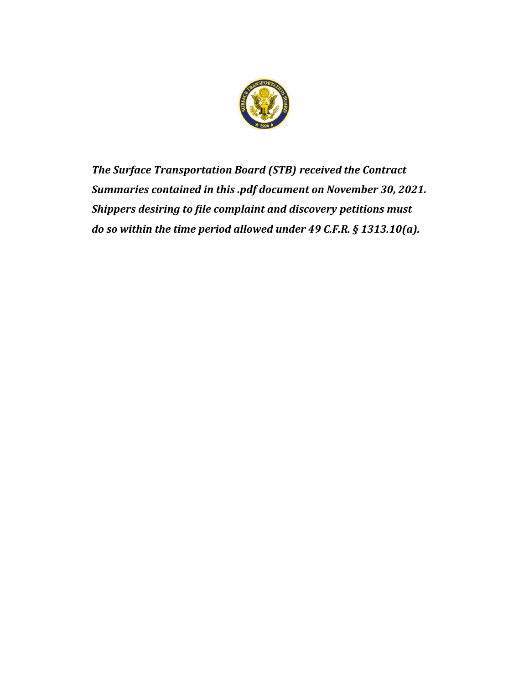

*The Surface Transportation Board (STB) received the Contract Summaries contained in this .pdf document on November 30, 2021. Shippers desiring to file complaint and discovery petitions must do so within the time period allowed under 49 C.F.R. § 1313.10(a).*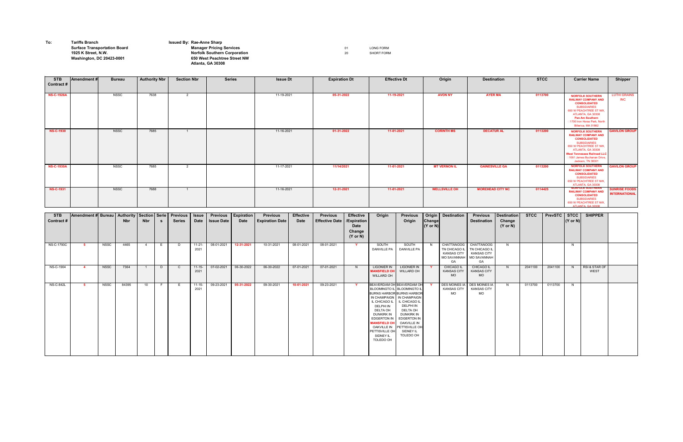**To: Tariffs Branch Issued By: Rae-Anne Sharp**

## **Surface Transportation Board Manager Pricing Services LONG FORM 1925 K Street, N.W.** Norfolk Southern Corporation SHORT FORM **Washington, DC 20423-0001 650 West Peachtree Street NW Atlanta, GA 30308**

| <b>STB</b><br>Contract # | <b>Amendment # Bureau   Authority   Section   Serie   Previous</b> |             | <b>Nbr</b> | <b>Nbr</b> |     | <b>Series</b> | <b>Issue</b><br><b>Date</b> | <b>Previous</b><br><b>Issue Date</b> | <b>Expiration</b><br><b>Date</b> | <b>Previous</b><br><b>Expiration Date</b> | <b>Effective</b><br><b>Date</b> | <b>Previous</b><br><b>Effective Date</b> | <b>Effective</b><br>/Expiration  <br><b>Date</b><br>Change<br>$(Y \text{ or } N)$ | Origin                                                                                                                                                                                                                                                                                                    | <b>Previous</b><br>Origin                                                                                                                                  | <b>Change</b><br><b>Y</b> or N) | Origin   Destination                                                                               | <b>Previous</b><br><b>Destination</b>                                 | Destination<br>Change<br>$(Y \text{ or } N)$ | <b>STCC</b> | <b>PrevSTC</b> | <b>STCC</b><br>$(Y \text{ or } N)$ | <b>SHIPPER</b>        |  |
|--------------------------|--------------------------------------------------------------------|-------------|------------|------------|-----|---------------|-----------------------------|--------------------------------------|----------------------------------|-------------------------------------------|---------------------------------|------------------------------------------|-----------------------------------------------------------------------------------|-----------------------------------------------------------------------------------------------------------------------------------------------------------------------------------------------------------------------------------------------------------------------------------------------------------|------------------------------------------------------------------------------------------------------------------------------------------------------------|---------------------------------|----------------------------------------------------------------------------------------------------|-----------------------------------------------------------------------|----------------------------------------------|-------------|----------------|------------------------------------|-----------------------|--|
| NS-C-1793C               |                                                                    | <b>NSSC</b> | 4465       |            |     | D             | $11 - 21 -$<br>2021         | 08-01-2021                           | 12-31-2021                       | 10-31-2021                                | 08-01-2021                      | 08-01-2021                               | $\mathbf{v}$                                                                      | SOUTH<br>DANVILLE PA                                                                                                                                                                                                                                                                                      | SOUTH<br><b>DANVILLE PA</b>                                                                                                                                |                                 | <b>CHATTANOOG</b><br>TN CHICAGO IL<br><b>KANSAS CITY</b><br>MO SAVANNAH   MO SAVANNAH<br><b>GA</b> | <b>CHATTANOOG</b><br>TN CHICAGO IL<br><b>KANSAS CITY</b><br><b>GA</b> | N.                                           |             |                | N.                                 |                       |  |
| <b>NS-C-1904</b>         |                                                                    | <b>NSSC</b> | 7364       |            | D   | $\mathbf{C}$  | $11 - 15 -$<br>2021         | 07-02-2021                           | 06-30-2022                       | 06-30-2022                                | 07-01-2021                      | 07-01-2021                               | N                                                                                 | <b>LIGONIER IN</b><br><b>MANSFIELD OH</b><br><b>WILLARD OH</b>                                                                                                                                                                                                                                            | <b>LIGONIER IN</b><br>WILLARD OH                                                                                                                           |                                 | <b>CHICAGO IL</b><br><b>KANSAS CITY</b><br><b>MO</b>                                               | CHICAGO IL<br><b>KANSAS CITY</b><br>MO.                               | N                                            | 2041100     | 2041100        | N                                  | RSI & STAR OF<br>WEST |  |
| <b>NS-C-842L</b>         |                                                                    | <b>NSSC</b> | 84395      | 10         | - F | E             | $11 - 15 -$<br>2021         | 09-23-2021                           | 05-31-2022                       | 09-30-2021                                | 10-01-2021                      | 09-23-2021                               |                                                                                   | BEAVERDAM OH BEAVERDAM OH<br><b>BLOOMINGTO IL BLOOMINGTO IL</b><br><b>BURNS HARBOR BURNS HARBOR</b><br>IN CHAMPAIGN   IN CHAMPAIGN<br>IL CHICAGO IL<br>DELPHI IN<br>DELTA OH<br>DUNKIRK IN<br><b>EDGERTON IN</b><br><b>MANSFIELD OF</b><br><b>OAKVILLE IN</b><br>PETTISVILLE OH<br>SIDNEY IL<br>TOLEDO OH | IL CHICAGO IL<br><b>DELPHI IN</b><br>DELTA OH<br><b>DUNKIRK IN</b><br><b>EDGERTON IN</b><br><b>OAKVILLE IN</b><br>PETTISVILLE OH<br>SIDNEY IL<br>TOLEDO OH |                                 | DES MOINES IA<br><b>KANSAS CITY</b><br>MO                                                          | <b>DES MOINES IA</b><br><b>KANSAS CITY</b><br>MO.                     | N.                                           | 0113700     | 0113700        | N.                                 |                       |  |

| <b>STB</b><br>Contract# | <b>Amendment#</b> | <b>Bureau</b> | <b>Authority Nbr</b> | <b>Section Nbr</b> | <b>Series</b> | <b>Issue Dt</b> | <b>Expiration Dt</b> | <b>Effective Dt</b> | Origin               | <b>Destination</b>      | <b>STCC</b> | <b>Carrier Name</b>                                                                                                                                                                                                                         | <b>Shipper</b>                               |
|-------------------------|-------------------|---------------|----------------------|--------------------|---------------|-----------------|----------------------|---------------------|----------------------|-------------------------|-------------|---------------------------------------------------------------------------------------------------------------------------------------------------------------------------------------------------------------------------------------------|----------------------------------------------|
| <b>NS-C-1926A</b>       |                   | NSSC          | 7638                 | 2                  |               | 11-19-2021      | 05-31-2022           | 11-19-2021          | <b>AVON NY</b>       | <b>AYER MA</b>          | 0113700     | <b>NORFOLK SOUTHERN</b><br><b>RAILWAY COMPANY AND</b><br><b>CONSOLIDATED</b><br><b>SUBSIDIARIES</b><br>650 W PEACHTREE ST NW,<br>ATLANTA, GA 30308<br>Pan Am Southern<br>1700 Iron Horse Park, North<br>Billerica, MA 01862                 | <b>LUTHI GRAINS</b><br><b>INC</b>            |
| <b>NS-C-1930</b>        |                   | <b>NSSC</b>   | 7685                 |                    |               | 11-16-2021      | 01-31-2022           | 11-01-2021          | <b>CORINTH MS</b>    | <b>DECATUR AL</b>       | 0113200     | <b>NORFOLK SOUTHERN</b><br><b>RAILWAY COMPANY AND</b><br><b>CONSOLIDATED</b><br><b>SUBSIDIARIES</b><br>650 W PEACHTREE ST NW,<br>ATLANTA, GA 30308<br><b>West Tennessee Railroad LLC</b><br>1061 James Buchanan Drive,<br>Jackson, TN 38301 | <b>GAVILON GROUP</b>                         |
| <b>NS-C-1930A</b>       |                   | NSSC          | 7685                 | $\overline{2}$     |               | 11-17-2021      | 11/14/2021           | 11-01-2021          | <b>MT VERNON IL</b>  | <b>GAINESVILLE GA</b>   | 0113200     | <b>NORFOLK SOUTHERN</b><br><b>RAILWAY COMPANY AND</b><br><b>CONSOLIDATED</b><br><b>SUBSIDIARIES</b><br>650 W PEACHTREE ST NW,<br>ATLANTA, GA 30308                                                                                          | <b>GAVILON GROUP</b>                         |
| <b>NS-C-1931</b>        |                   | <b>NSSC</b>   | 7688                 |                    |               | 11-16-2021      | 12-31-2021           | 11-01-2021          | <b>WELLSVILLE OH</b> | <b>MOREHEAD CITY NC</b> | 0114425     | <b>NURFULK SUUTHERN</b><br><b>RAILWAY COMPANY AND</b><br><b>CONSOLIDATED</b><br><b>SUBSIDIARIES</b><br>650 W PEACHTREE ST NW,<br>ATLANTA GA 30308                                                                                           | <b>SUNRISE FOODS</b><br><b>INTERNATIONAL</b> |